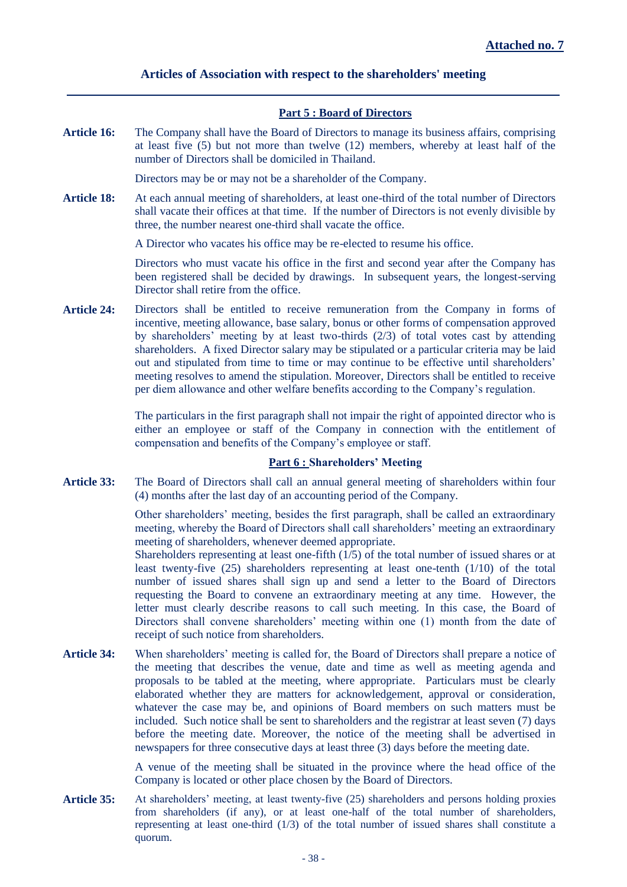## **Articles of Association with respect to the shareholders' meeting**

## **Part 5 : Board of Directors**

**Article 16:** The Company shall have the Board of Directors to manage its business affairs, comprising at least five (5) but not more than twelve (12) members, whereby at least half of the number of Directors shall be domiciled in Thailand.

Directors may be or may not be a shareholder of the Company.

**Article 18:** At each annual meeting of shareholders, at least one-third of the total number of Directors shall vacate their offices at that time. If the number of Directors is not evenly divisible by three, the number nearest one-third shall vacate the office.

A Director who vacates his office may be re-elected to resume his office.

Directors who must vacate his office in the first and second year after the Company has been registered shall be decided by drawings. In subsequent years, the longest-serving Director shall retire from the office.

Article 24: Directors shall be entitled to receive remuneration from the Company in forms of incentive, meeting allowance, base salary, bonus or other forms of compensation approved by shareholders' meeting by at least two-thirds (2/3) of total votes cast by attending shareholders. A fixed Director salary may be stipulated or a particular criteria may be laid out and stipulated from time to time or may continue to be effective until shareholders' meeting resolves to amend the stipulation. Moreover, Directors shall be entitled to receive per diem allowance and other welfare benefits according to the Company's regulation.

> The particulars in the first paragraph shall not impair the right of appointed director who is either an employee or staff of the Company in connection with the entitlement of compensation and benefits of the Company's employee or staff.

## **Part 6 : Shareholders' Meeting**

**Article 33:** The Board of Directors shall call an annual general meeting of shareholders within four (4) months after the last day of an accounting period of the Company.

> Other shareholders' meeting, besides the first paragraph, shall be called an extraordinary meeting, whereby the Board of Directors shall call shareholders' meeting an extraordinary meeting of shareholders, whenever deemed appropriate.

> Shareholders representing at least one-fifth (1/5) of the total number of issued shares or at least twenty-five (25) shareholders representing at least one-tenth (1/10) of the total number of issued shares shall sign up and send a letter to the Board of Directors requesting the Board to convene an extraordinary meeting at any time. However, the letter must clearly describe reasons to call such meeting. In this case, the Board of Directors shall convene shareholders' meeting within one (1) month from the date of receipt of such notice from shareholders.

**Article 34:** When shareholders' meeting is called for, the Board of Directors shall prepare a notice of the meeting that describes the venue, date and time as well as meeting agenda and proposals to be tabled at the meeting, where appropriate. Particulars must be clearly elaborated whether they are matters for acknowledgement, approval or consideration, whatever the case may be, and opinions of Board members on such matters must be included. Such notice shall be sent to shareholders and the registrar at least seven (7) days before the meeting date. Moreover, the notice of the meeting shall be advertised in newspapers for three consecutive days at least three (3) days before the meeting date.

> A venue of the meeting shall be situated in the province where the head office of the Company is located or other place chosen by the Board of Directors.

**Article 35:** At shareholders' meeting, at least twenty-five (25) shareholders and persons holding proxies from shareholders (if any), or at least one-half of the total number of shareholders, representing at least one-third (1/3) of the total number of issued shares shall constitute a quorum.